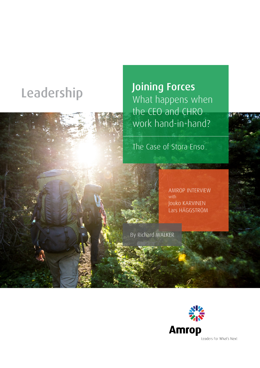

Leadership Joining Forces What happens when the CEO and CHRO work hand-in-hand?

The Case of Stora Enso

AMROP INTERVIEW with Jouko KARVINEN Lars HÄGGSTRÖM

By Richard WALKER



Leaders For What's Next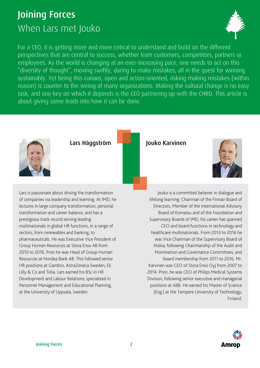# Joining Forces When Lars met Jouko



For a CEO, it is getting more and more critical to understand and build on the different perspectives that are central to success, whether from customers, competitors, partners or employees. As the world is changing at an ever-increasing pace, one needs to act on this "diversity of thought", moving swiftly, daring to make mistakes, all in the quest for winning sustainably. Yet being this curious, open and action-oriented, risking making mistakes (within reason) is counter to the wiring of many organizations. Making the cultural change is no easy task, and one key on which it depends is the CEO partnering up with the CHRO. This article is about giving some leads into how it can be done.



Lars Häggström **Julius Haggström Jouko Karvinen** 

Lars is passionate about driving the transformation of companies via leadership and learning. At IMD, he lectures in large company transformation, personal transformation and career balance, and has a prestigious track record serving leading multinationals in global HR functions, in a range of sectors, from renewables and banking, to pharmaceuticals. He was Executive Vice President of Group Human Resources at Stora Enso AB from 2010 to 2016. Prior he was Head of Group Human Resources at Nordea Bank AB. This followed senior HR positions at Gambro, AstraZeneca Sweden, Eli Lilly & Co and Telia. Lars earned his BSc in HR Development and Labour Relations, specialized in Personnel Management and Educational Planning, at the University of Uppsala, Sweden.



Jouko is a committed believer in dialogue and lifelong learning. Chairman of the Finnair Board of Directors, Member of the International Advisory Board of Komatsu and of the Foundation and Supervisory Boards of IMD, his career has spanned CEO and board functions in technology and healthcare multinationals. From 2013 to 2016 he was Vice Chairman of the Supervisory Board of Nokia, following Chairmanship of the Audit and Nomination and Governance Committees, and board membership from 2011 to 2016. Mr. Karvinen was CEO of Stora Enso Oyj from 2007 to 2014. Prior, he was CEO of Philips Medical Systems Division, following senior executive and managerial positions at ABB. He earned his Master of Science (Eng.) at the Tampere University of Technology, Finland.

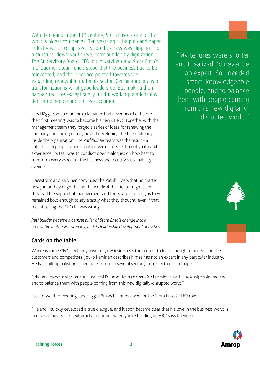With its origins in the 13<sup>th</sup> century, Stora Enso is one of the world's oldest companies. Ten years ago, the pulp and paper industry which comprised its core business was slipping into a structural downward curve, compounded by digitization. The Supervisory Board, CEO Jouko Karvinen and Stora Enso's management team understood that the business had to be reinvented, and the evidence pointed towards the expanding renewable materials sector. Germinating ideas for transformation is what good leaders do. But making them happen requires exceptionally fruitful working relationships, dedicated people and not least courage.

Lars Häggström, a man Jouko Karvinen had never heard of before their first meeting, was to become his new CHRO. Together with the management team they forged a series of ideas for renewing the company – including deploying and developing the talent already inside the organization. The *Pathbuilder* team was the result - a cohort of 16 people made up of a diverse cross section of youth and experience. Its task was to conduct open dialogues on how best to transform every aspect of the business and identify sustainability avenues.

Häggström and Karvinen convinced the Pathbuilders that no matter how junior they might be, nor how radical their ideas might seem, they had the support of management and the Board – as long as they remained bold enough to say exactly what they thought, even if that meant telling the CEO he was wrong.

*Pathbuilder became a central pillar of Stora Enso's change into a renewable materials company, and its leadership development activities.* 

# Cards on the table

Whereas some CEOs feel they have to grow inside a sector in order to learn enough to understand their customers and competitors, Jouko Karvinen describes himself as not an expert in any particular industry. He has built up a distinguished track record in several sectors, from electronics to paper.

"My tenures were shorter and I realized I'd never be an expert. So I needed smart, knowledgeable people, and to balance them with people coming from this new digitally-disrupted world."

Fast-forward to meeting Lars Häggström as he interviewed for the Stora Enso CHRO role.

"He and I quickly developed a true dialogue, and it soon became clear that his love in the business world is in developing people - extremely important when you're heading up HR," says Karvinen.

"My tenures were shorter and I realized I'd never be an expert. So I needed smart, knowledgeable people, and to balance them with people coming from this new digitallydisrupted world."

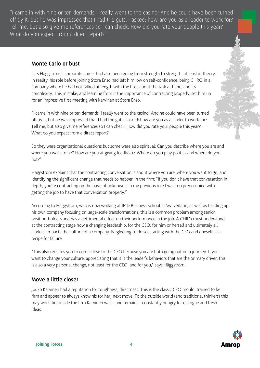"I came in with nine or ten demands, I really went to the casino! And he could have been turned off by it, but he was impressed that I had the guts. I asked: how are you as a leader to work for? Tell me, but also give me references so I can check. How did you rate your people this year? What do you expect from a direct report?"

# Monte Carlo or bust

Lars Häggström's corporate career had also been going from strength to strength, at least in theory. In reality, his role before joining Stora Enso had left him low on self-confidence, being CHRO in a company where he had not talked at length with the boss about the task at hand, and its complexity. This mistake, and learning from it the importance of contracting properly, set him up for an impressive first meeting with Karvinen at Stora Enso.

"I came in with nine or ten demands, I really went to the casino! And he could have been turned off by it, but he was impressed that I had the guts. I asked: how are you as a leader to work for? Tell me, but also give me references so I can check. How did you rate your people this year? What do you expect from a direct report?

So they were organizational questions but some were also spiritual: Can you describe where you are and where you want to be? How are you at giving feedback? Where do you play politics and where do you not?"

Häggström explains that the contracting conversation is about where you are, where you want to go, and identifying the significant change that needs to happen in the firm: "If you don't have that conversation in depth, you're contracting on the basis of unknowns. In my previous role I was too preoccupied with getting the job to have that conversation properly."

According to Häggström, who is now working at IMD Business School in Switzerland, as well as heading up his own company focusing on large-scale transformations, this is a common problem among senior position-holders and has a detrimental effect on their performance in the job. A CHRO must understand at the contracting stage how a changing leadership, for the CEO, for him or herself and ultimately all leaders, impacts the culture of a company. Neglecting to do so, starting with the CEO and oneself, is a recipe for failure.

"This also requires you to come close to the CEO because you are both going out on a journey. If you want to change your culture, appreciating that it is the leader's behaviors that are the primary driver, this is also a very personal change, not least for the CEO, and for you," says Häggström.

# Move a little closer

Jouko Karvinen had a reputation for toughness, directness. This is the classic CEO mould, trained to be firm and appear to always know his (or her) next move. To the outside world (and traditional thinkers) this may work, but inside the firm Karvinen was – and remains - constantly hungry for dialogue and fresh ideas.

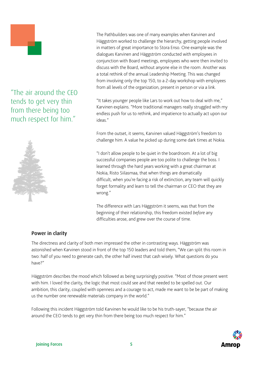

"The air around the CEO tends to get very thin from there being too much respect for him."



The Pathbuilders was one of many examples when Karvinen and Häggström worked to challenge the hierarchy, getting people involved in matters of great importance to Stora Enso. One example was the dialogues Karvinen and Häggström conducted with employees in conjunction with Board meetings, employees who were then invited to discuss with the Board, without anyone else in the room. Another was a total rethink of the annual Leadership Meeting. This was changed from involving only the top 150, to a 2-day workshop with employees from all levels of the organization, present in person or via a link.

"It takes younger people like Lars to work out how to deal with me," Karvinen explains. "More traditional managers really struggled with my endless push for us to rethink, and impatience to actually act upon our ideas."

From the outset, it seems, Karvinen valued Häggström's freedom to challenge him. A value he picked up during some dark times at Nokia.

"I don't allow people to be quiet in the boardroom. At a lot of big successful companies people are too polite to challenge the boss. I learned through the hard years working with a great chairman at Nokia, Risto Siilasmaa, that when things are dramatically difficult, when you're facing a risk of extinction, any team will quickly forget formality and learn to tell the chairman or CEO that they are wrong."

The difference with Lars Häggström it seems, was that from the beginning of their relationship, this freedom existed *before* any difficulties arose, and grew over the course of time.

### Power in clarity

The directness and clarity of both men impressed the other in contrasting ways. Häggström was astonished when Karvinen stood in front of the top 150 leaders and told them, "We can split this room in two: half of you need to generate cash, the other half invest that cash wisely. What questions do you have?"

Häggström describes the mood which followed as being surprisingly positive. "Most of those present went with him. I loved the clarity, the logic that most could see and that needed to be spelled out. Our ambition, this clarity, coupled with openness and a courage to act, made me want to be be part of making us the number one renewable materials company in the world."

Following this incident Häggström told Karvinen he would like to be his truth-sayer, "because the air around the CEO tends to get very thin from there being too much respect for him."

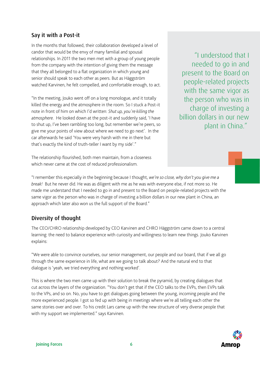## Say it with a Post-it

In the months that followed, their collaboration developed a level of candor that would be the envy of many familial and spousal relationships. In 2011 the two men met with a group of young people from the company with the intention of giving them the message that they all belonged to a flat organization in which young and senior should speak to each other as peers. But as Häggström watched Karvinen, he felt compelled, and comfortable enough, to act.

"In the meeting, Jouko went off on a long monologue, and it totally killed the energy and the atmosphere in the room. So I stuck a Post-it note in front of him on which I'd written: *Shut up, you're killing the atmosphere*. He looked down at the post-it and suddenly said, 'I have to shut up, I've been rambling too long, but remember we're peers, so give me your points of view about where we need to go next'. In the car afterwards he said 'You were very harsh with me in there but that's exactly the kind of truth-teller I want by my side'."

"I understood that I needed to go in and present to the Board on people-related projects with the same vigor as the person who was in charge of investing a billion dollars in our new plant in China."

The relationship flourished, both men maintain, from a closeness which never came at the cost of reduced professionalism.

"I remember this especially in the beginning because I thought, *we're so close, why don't you give me a break!* But he never did. He was as diligent with me as he was with everyone else, if not more so. He made me understand that I needed to go in and present to the Board on people-related projects with the same vigor as the person who was in charge of investing a billion dollars in our new plant in China, an approach which later also won us the full support of the Board."

# Diversity of thought

The CEO/CHRO relationship developed by CEO Karvinen and CHRO Häggström came down to a central learning: the need to balance experience with curiosity and willingness to learn new things. Jouko Karvinen explains:

"We were able to convince ourselves, our senior management, our people and our board, that if we all go through the same experience in life, what are we going to talk about? And the natural end to that dialogue is 'yeah, we tried everything and nothing worked'.

This is where the two men came up with their solution to break the pyramid, by creating dialogues that cut across the layers of the organization. "You don't get that if the CEO talks to the EVPs, then EVPs talk to the VPs, and so on. No, you have to get dialogues going between the young, incoming people and the more experienced people. I got so fed up with being in meetings where we're all telling each other the same stories over and over. To his credit Lars came up with the new structure of very diverse people that with my support we implemented." says Karvinen.

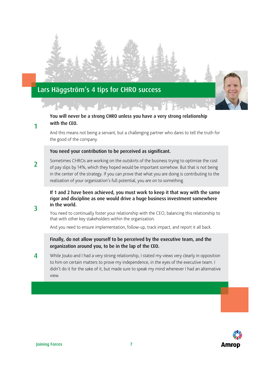

#### You will never be a strong CHRO unless you have a very strong relationship with the CEO.

And this means not being a servant, but a challenging partner who dares to tell the truth for the good of the company.

#### You need your contribution to be perceived as significant.

2 Sometimes CHROs are working on the outskirts of the business trying to optimize the cost of pay slips by 14%, which they hoped would be important somehow. But that is not being in the center of the strategy. If you can prove that what you are doing is contributing to the realization of your organization's full potential, you are on to something.

#### If 1 and 2 have been achieved, you must work to keep it that way with the same rigor and discipline as one would drive a huge business investment somewhere in the world.

You need to continually foster your relationship with the CEO, balancing this relationship to that with other key stakeholders within the organization.

And you need to ensure implementation, follow-up, track impact, and report it all back.

### Finally, do not allow yourself to be perceived by the executive team, and the organization around you, to be in the lap of the CEO.

4 While Jouko and I had a very strong relationship, I stated my views very clearly in opposition to him on certain matters to prove my independence, in the eyes of the executive team. I didn't do it for the sake of it, but made sure to speak my mind whenever I had an alternative view.



1

3